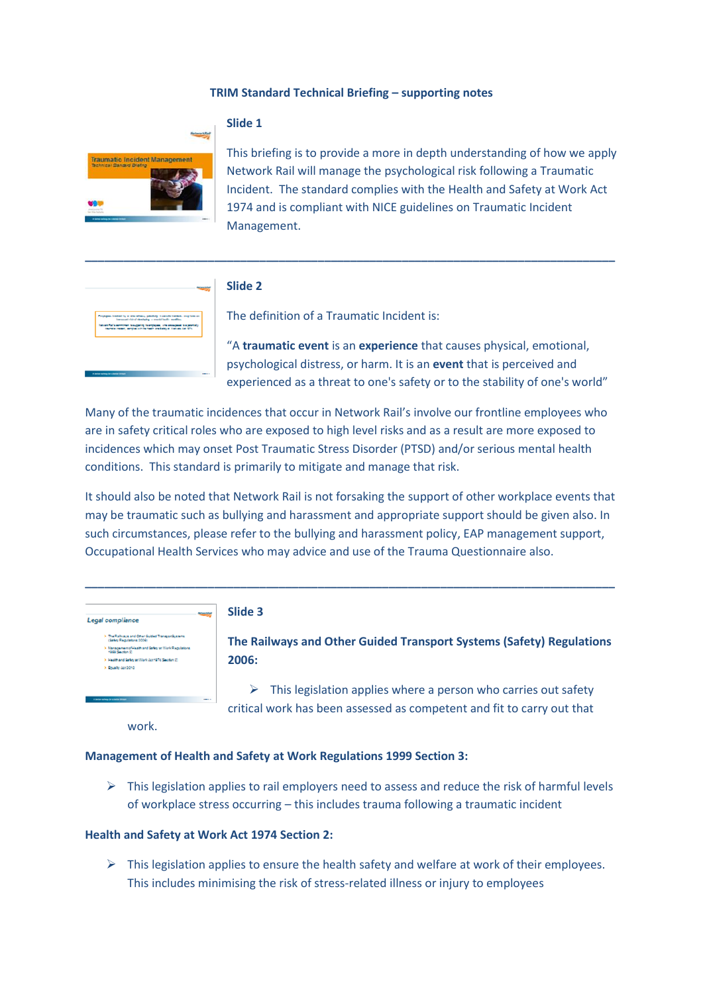## **TRIM Standard Technical Briefing – supporting notes**



# **Slide 1**

This briefing is to provide a more in depth understanding of how we apply Network Rail will manage the psychological risk following a Traumatic Incident. The standard complies with the Health and Safety at Work Act 1974 and is compliant with NICE guidelines on Traumatic Incident Management.



## **Slide 2**

The definition of a Traumatic Incident is:

**\_\_\_\_\_\_\_\_\_\_\_\_\_\_\_\_\_\_\_\_\_\_\_\_\_\_\_\_\_\_\_\_\_\_\_\_\_\_\_\_\_\_\_\_\_\_\_\_\_\_\_\_\_\_\_\_\_\_\_\_\_\_\_\_\_\_\_\_\_\_\_\_\_\_\_\_\_\_\_\_\_\_**

"A **traumatic event** is an **experience** that causes physical, emotional, psychological distress, or harm. It is an **event** that is perceived and experienced as a threat to one's safety or to the stability of one's world"

Many of the traumatic incidences that occur in Network Rail's involve our frontline employees who are in safety critical roles who are exposed to high level risks and as a result are more exposed to incidences which may onset Post Traumatic Stress Disorder (PTSD) and/or serious mental health conditions. This standard is primarily to mitigate and manage that risk.

It should also be noted that Network Rail is not forsaking the support of other workplace events that may be traumatic such as bullying and harassment and appropriate support should be given also. In such circumstances, please refer to the bullying and harassment policy, EAP management support, Occupational Health Services who may advice and use of the Trauma Questionnaire also.

**\_\_\_\_\_\_\_\_\_\_\_\_\_\_\_\_\_\_\_\_\_\_\_\_\_\_\_\_\_\_\_\_\_\_\_\_\_\_\_\_\_\_\_\_\_\_\_\_\_\_\_\_\_\_\_\_\_\_\_\_\_\_\_\_\_\_\_\_\_\_\_\_\_\_\_\_\_\_\_\_\_\_**

| <b>Ballymark</b><br>gal compliance                                                                                         | Slide 3          |
|----------------------------------------------------------------------------------------------------------------------------|------------------|
| > The Railways and Other Guided Transportive ams.<br>(Safety Riedulations 2006)                                            | <b>The Raily</b> |
| > Management of Health and Safety at Work Regulations.<br>1999 Section ST<br>> Haalthand Safety at Work Scr1974 Section 20 | 2006:            |
|                                                                                                                            |                  |

**The Railways and Other Guided Transport Systems (Safety) Regulations 2006:** 

 $\triangleright$  This legislation applies where a person who carries out safety critical work has been assessed as competent and fit to carry out that

work.

r.

### **Management of Health and Safety at Work Regulations 1999 Section 3:**

 $\triangleright$  This legislation applies to rail employers need to assess and reduce the risk of harmful levels of workplace stress occurring – this includes trauma following a traumatic incident

## **Health and Safety at Work Act 1974 Section 2:**

 $\triangleright$  This legislation applies to ensure the health safety and welfare at work of their employees. This includes minimising the risk of stress-related illness or injury to employees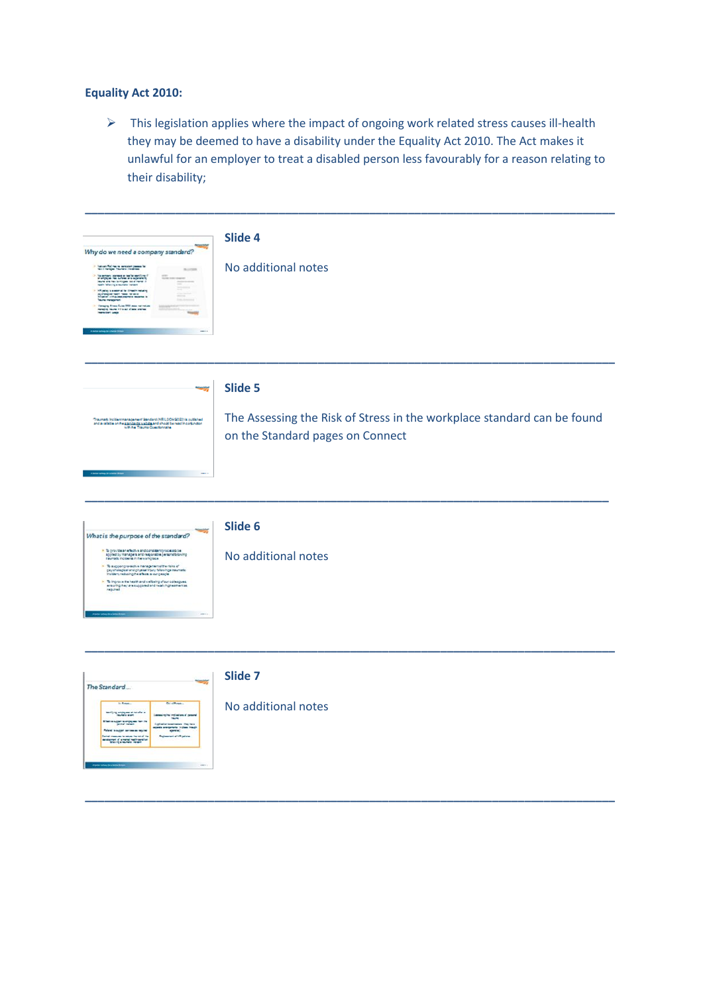# **Equality Act 2010:**

**Window** and all stressed beatrices

 $\triangleright$  This legislation applies where the impact of ongoing work related stress causes ill-health they may be deemed to have a disability under the Equality Act 2010. The Act makes it unlawful for an employer to treat a disabled person less favourably for a reason relating to their disability;

| Why do we need a company standard?<br>Takush Rel has no ashcidan passas for<br>Taci I nanapa Thurada Instanza<br>ALCOHO<br>pry starment as had he constituted<br>gam from inclusion as a superiority of<br>est has to religious can all market it<br>discorpoints of the same<br><b>Looked to EnableMary</b><br>i hadin masa natawa<br>Mga matanganisa magamata<br><b>Simon Curee 2012 more not include</b><br>one in this and of more services.                               | Slide 4<br>No additional notes                                                                                         |
|--------------------------------------------------------------------------------------------------------------------------------------------------------------------------------------------------------------------------------------------------------------------------------------------------------------------------------------------------------------------------------------------------------------------------------------------------------------------------------|------------------------------------------------------------------------------------------------------------------------|
| وزيت<br>Traumate incident<br>management function (NRL2CH2CE2) is published and available on the <u>proclaming validing</u> and about the mad in conjunction<br>with the Trauma Questionnaire                                                                                                                                                                                                                                                                                   | Slide 5<br>The Assessing the Risk of Stress in the workplace standard can be found<br>on the Standard pages on Connect |
| What is the purpose of the standard?<br>. To provide an effective and consistent process to be<br>appled by managers and responsible persons blowing<br>reunals incidents in the workplace<br>$\frac{1}{2}$ supportprovable managements<br>fractions of physical individual managements incident reducing the effects to our people<br>$\rightarrow$ 3. Improve the health and wellbeing of our colleagues,<br>ensuring they are supposed and reselving memorials.<br>Inquired | Slide 6<br>No additional notes                                                                                         |
| <b>STATE</b><br>The Standard<br><b>Gil of Rossey</b><br><b>S. Freeze</b><br>a no de a                                                                                                                                                                                                                                                                                                                                                                                          | Slide 7<br>No additional notes                                                                                         |

**\_\_\_\_\_\_\_\_\_\_\_\_\_\_\_\_\_\_\_\_\_\_\_\_\_\_\_\_\_\_\_\_\_\_\_\_\_\_\_\_\_\_\_\_\_\_\_\_\_\_\_\_\_\_\_\_\_\_\_\_\_\_\_\_\_\_\_\_\_\_\_\_\_\_\_\_\_\_\_\_\_\_**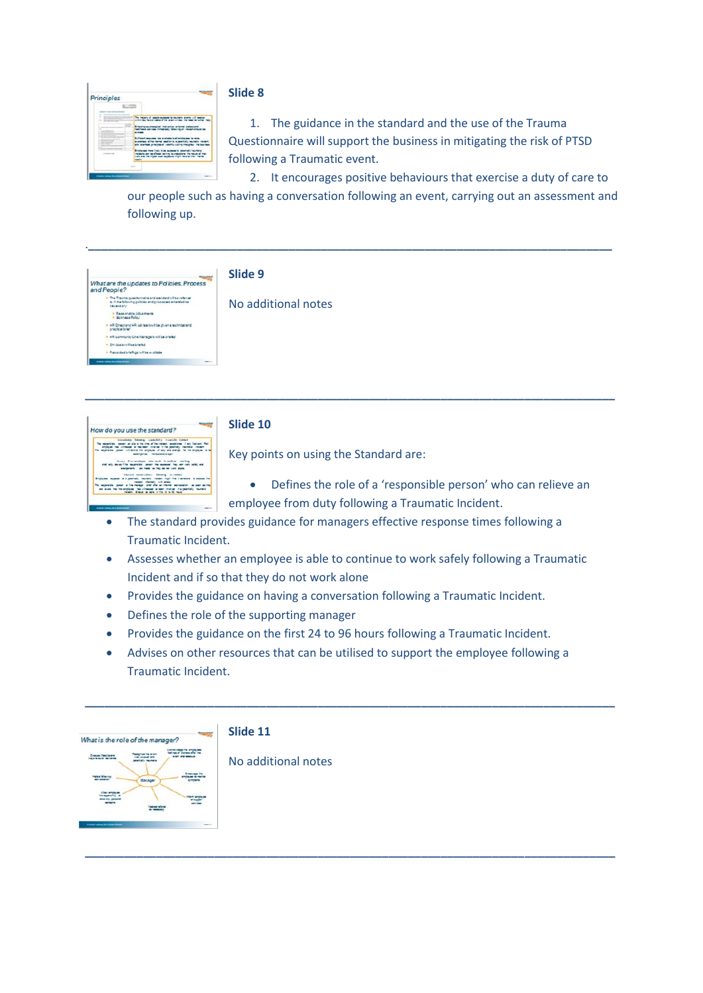

## **Slide 8**

1. The guidance in the standard and the use of the Trauma Questionnaire will support the business in mitigating the risk of PTSD following a Traumatic event.

2. It encourages positive behaviours that exercise a duty of care to our people such as having a conversation following an event, carrying out an assessment and

following up.

How do you use the standard?

|                                                                                                                                                    | Slide 9             |
|----------------------------------------------------------------------------------------------------------------------------------------------------|---------------------|
| -<br>What are the updates to Policies, Process<br>and People?                                                                                      |                     |
| > The Trauma guestomaire and standard will be referred<br>to in the following policies and processes amended as<br><b><i><u>NACAZZARIC</u></i></b> | No additional notes |
| > Reasonable Idiusmens<br>· Sciness Poley                                                                                                          |                     |
| > HR Directand HR davisars utilize given a extinizational<br>practical briat                                                                       |                     |
| . SR community Cine Managers will be briefed                                                                                                       |                     |
| > Oil dealers/Fbebriefed                                                                                                                           |                     |
| > Recorded briefings will be available                                                                                                             |                     |
| <b><i>Started subject for a latter \$10000.</i></b><br><b>SHELL!</b>                                                                               |                     |

**\_\_\_\_\_\_\_\_\_\_\_\_\_\_\_\_\_\_\_\_\_\_\_\_\_\_\_\_\_\_\_\_\_\_\_\_\_\_\_\_\_\_\_\_\_\_\_\_\_\_\_\_\_\_\_\_\_\_\_\_\_\_\_\_\_\_\_\_\_\_\_\_\_\_\_\_\_\_\_\_\_\_**



Key points on using the Standard are:

- Defines the role of a 'responsible person' who can relieve an employee from duty following a Traumatic Incident.
- The standard provides guidance for managers effective response times following a Traumatic Incident.
- Assesses whether an employee is able to continue to work safely following a Traumatic Incident and if so that they do not work alone
- Provides the guidance on having a conversation following a Traumatic Incident.
- Defines the role of the supporting manager
- Provides the guidance on the first 24 to 96 hours following a Traumatic Incident.
- Advises on other resources that can be utilised to support the employee following a Traumatic Incident.

**\_\_\_\_\_\_\_\_\_\_\_\_\_\_\_\_\_\_\_\_\_\_\_\_\_\_\_\_\_\_\_\_\_\_\_\_\_\_\_\_\_\_\_\_\_\_\_\_\_\_\_\_\_\_\_\_\_\_\_\_\_\_\_\_\_\_\_\_\_\_\_\_\_\_\_\_\_\_\_\_\_\_**

**\_\_\_\_\_\_\_\_\_\_\_\_\_\_\_\_\_\_\_\_\_\_\_\_\_\_\_\_\_\_\_\_\_\_\_\_\_\_\_\_\_\_\_\_\_\_\_\_\_\_\_\_\_\_\_\_\_\_\_\_\_\_\_\_\_\_\_\_\_\_\_\_\_\_\_\_\_\_\_\_\_\_**



# **Slide 11**

No additional notes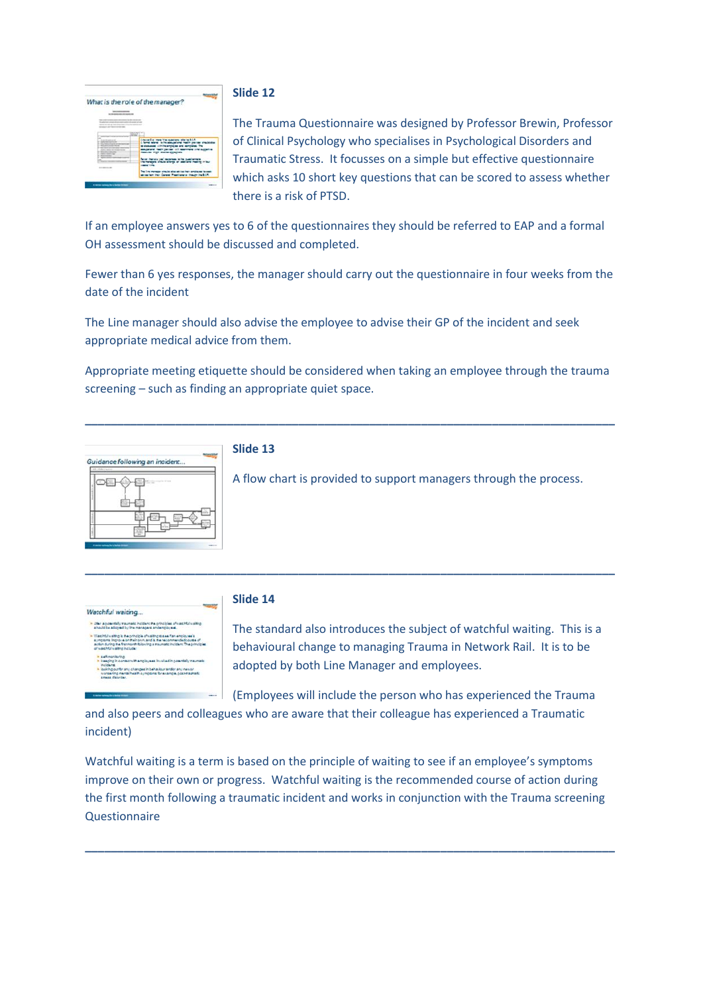

### **Slide 12**

The Trauma Questionnaire was designed by Professor Brewin, Professor of Clinical Psychology who specialises in Psychological Disorders and Traumatic Stress. It focusses on a simple but effective questionnaire which asks 10 short key questions that can be scored to assess whether there is a risk of PTSD.

If an employee answers yes to 6 of the questionnaires they should be referred to EAP and a formal OH assessment should be discussed and completed.

Fewer than 6 yes responses, the manager should carry out the questionnaire in four weeks from the date of the incident

The Line manager should also advise the employee to advise their GP of the incident and seek appropriate medical advice from them.

Appropriate meeting etiquette should be considered when taking an employee through the trauma screening – such as finding an appropriate quiet space.

**\_\_\_\_\_\_\_\_\_\_\_\_\_\_\_\_\_\_\_\_\_\_\_\_\_\_\_\_\_\_\_\_\_\_\_\_\_\_\_\_\_\_\_\_\_\_\_\_\_\_\_\_\_\_\_\_\_\_\_\_\_\_\_\_\_\_\_\_\_\_\_\_\_\_\_\_\_\_\_\_\_\_**

**\_\_\_\_\_\_\_\_\_\_\_\_\_\_\_\_\_\_\_\_\_\_\_\_\_\_\_\_\_\_\_\_\_\_\_\_\_\_\_\_\_\_\_\_\_\_\_\_\_\_\_\_\_\_\_\_\_\_\_\_\_\_\_\_\_\_\_\_\_\_\_\_\_\_\_\_\_\_\_\_\_\_**



## **Slide 13**

A flow chart is provided to support managers through the process.



## **Slide 14**

The standard also introduces the subject of watchful waiting. This is a behavioural change to managing Trauma in Network Rail. It is to be adopted by both Line Manager and employees.

(Employees will include the person who has experienced the Trauma

and also peers and colleagues who are aware that their colleague has experienced a Traumatic incident)

Watchful waiting is a term is based on the principle of waiting to see if an employee's symptoms improve on their own or progress. Watchful waiting is the recommended course of action during the first month following a traumatic incident and works in conjunction with the Trauma screening **Questionnaire** 

**\_\_\_\_\_\_\_\_\_\_\_\_\_\_\_\_\_\_\_\_\_\_\_\_\_\_\_\_\_\_\_\_\_\_\_\_\_\_\_\_\_\_\_\_\_\_\_\_\_\_\_\_\_\_\_\_\_\_\_\_\_\_\_\_\_\_\_\_\_\_\_\_\_\_\_\_\_\_\_\_\_\_**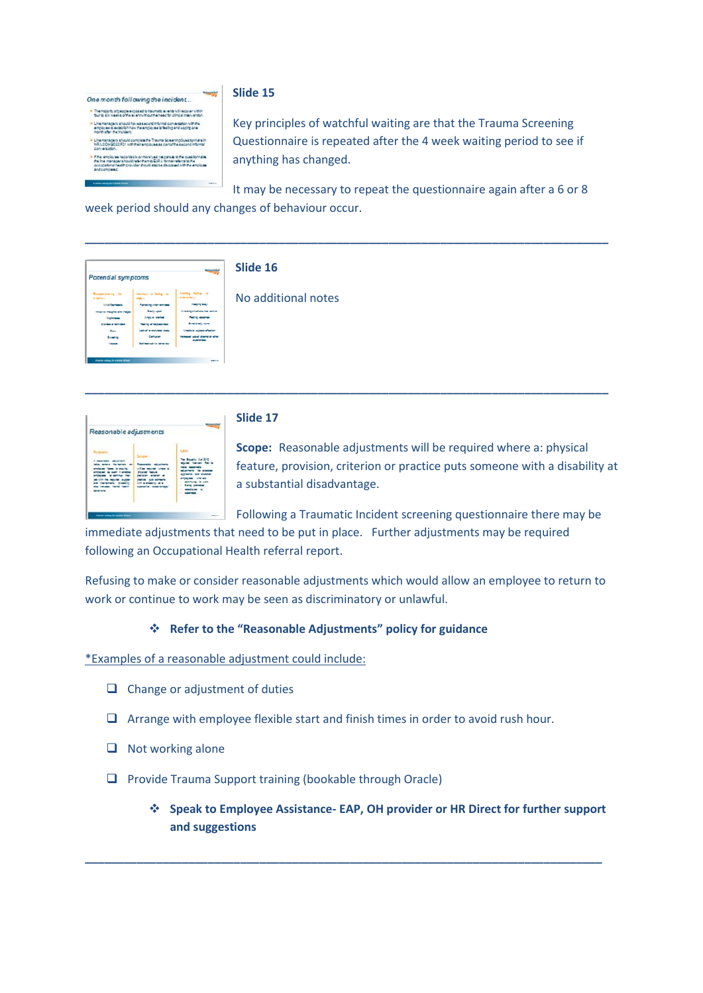One month following the incident... .<br>The majority of people exposed to traumatic events will recover within<br>Some information of the eventy thoughs need for circle intervention

- Line managers should have a second informal conversation with the<br>employee to establish how the employee is feeling and coping one<br>hondy after the incidence
- 
- 
- 

**Slide 15**

Key principles of watchful waiting are that the Trauma Screening Questionnaire is repeated after the 4 week waiting period to see if anything has changed.

It may be necessary to repeat the questionnaire again after a 6 or 8 week period should any changes of behaviour occur.

**\_\_\_\_\_\_\_\_\_\_\_\_\_\_\_\_\_\_\_\_\_\_\_\_\_\_\_\_\_\_\_\_\_\_\_\_\_\_\_\_\_\_\_\_\_\_\_\_\_\_\_\_\_\_\_\_\_\_\_\_\_\_\_\_\_\_\_\_\_\_\_\_\_\_\_\_\_\_\_\_\_**

**\_\_\_\_\_\_\_\_\_\_\_\_\_\_\_\_\_\_\_\_\_\_\_\_\_\_\_\_\_\_\_\_\_\_\_\_\_\_\_\_\_\_\_\_\_\_\_\_\_\_\_\_\_\_\_\_\_\_\_\_\_\_\_\_\_\_\_\_\_\_\_\_\_\_\_\_\_\_\_\_\_**

Potential symptoms

# **Slide 16**

No additional notes

| Reasonable adjustments   |  |
|--------------------------|--|
| <b><i>STATISTICS</i></b> |  |

# **Slide 17**

**Scope:** Reasonable adjustments will be required where a: physical feature, provision, criterion or practice puts someone with a disability at a substantial disadvantage.

Following a Traumatic Incident screening questionnaire there may be

immediate adjustments that need to be put in place. Further adjustments may be required following an Occupational Health referral report.

Refusing to make or consider reasonable adjustments which would allow an employee to return to work or continue to work may be seen as discriminatory or unlawful.

# **Refer to the "Reasonable Adjustments" policy for guidance**

\*Examples of a reasonable adjustment could include:

- $\Box$  Change or adjustment of duties
- $\Box$  Arrange with employee flexible start and finish times in order to avoid rush hour.

**\_\_\_\_\_\_\_\_\_\_\_\_\_\_\_\_\_\_\_\_\_\_\_\_\_\_\_\_\_\_\_\_\_\_\_\_\_\_\_\_\_\_\_\_\_\_\_\_\_\_\_\_\_\_\_\_\_\_\_\_\_\_\_\_\_\_\_\_\_\_\_\_\_\_\_\_\_\_\_\_**

- $\Box$  Not working alone
- □ Provide Trauma Support training (bookable through Oracle)
	- **Speak to Employee Assistance- EAP, OH provider or HR Direct for further support and suggestions**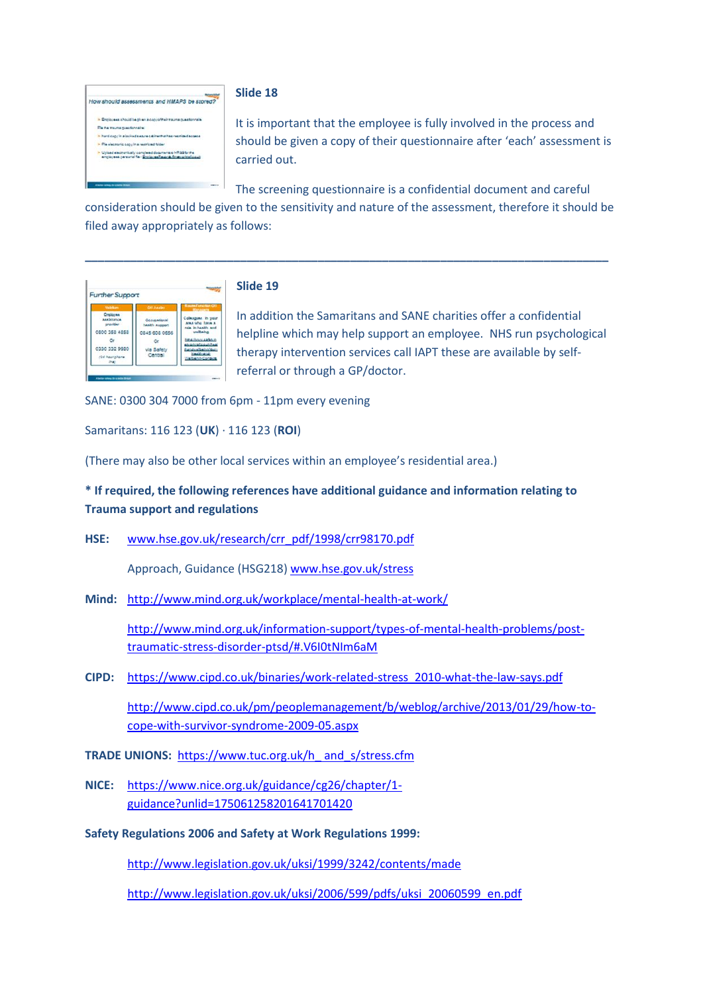

### **Slide 18**

It is important that the employee is fully involved in the process and should be given a copy of their questionnaire after 'each' assessment is carried out.

The screening questionnaire is a confidential document and careful

consideration should be given to the sensitivity and nature of the assessment, therefore it should be filed away appropriately as follows:

**\_\_\_\_\_\_\_\_\_\_\_\_\_\_\_\_\_\_\_\_\_\_\_\_\_\_\_\_\_\_\_\_\_\_\_\_\_\_\_\_\_\_\_\_\_\_\_\_\_\_\_\_\_\_\_\_\_\_\_\_\_\_\_\_\_\_\_\_\_\_\_\_\_\_\_\_\_\_\_\_\_**



## **Slide 19**

In addition the Samaritans and SANE charities offer a confidential helpline which may help support an employee. NHS run psychological therapy intervention services call IAPT these are available by selfreferral or through a GP/doctor.

SANE: 0300 304 7000 from 6pm - 11pm every evening

Samaritans: 116 123 (**UK**) · 116 123 (**ROI**)

(There may also be other local services within an employee's residential area.)

# **\* If required, the following references have additional guidance and information relating to Trauma support and regulations**

**HSE:** [www.hse.gov.uk/research/crr\\_pdf/1998/crr98170.pdf](http://www.hse.gov.uk/research/crr_pdf/1998/crr98170.pdf)

Approach, Guidance (HSG218) [www.hse.gov.uk/stress](http://www.hse.gov.uk/stress)

**Mind:** <http://www.mind.org.uk/workplace/mental-health-at-work/>

[http://www.mind.org.uk/information-support/types-of-mental-health-problems/post](http://www.mind.org.uk/information-support/types-of-mental-health-problems/post-traumatic-stress-disorder-ptsd/#.V6I0tNIm6aM)[traumatic-stress-disorder-ptsd/#.V6I0tNIm6aM](http://www.mind.org.uk/information-support/types-of-mental-health-problems/post-traumatic-stress-disorder-ptsd/#.V6I0tNIm6aM)

**CIPD:** [https://www.cipd.co.uk/binaries/work-related-stress\\_2010-what-the-law-says.pdf](https://www.cipd.co.uk/binaries/work-related-stress_2010-what-the-law-says.pdf)

[http://www.cipd.co.uk/pm/peoplemanagement/b/weblog/archive/2013/01/29/how-to](http://www.cipd.co.uk/pm/peoplemanagement/b/weblog/archive/2013/01/29/how-to-cope-with-survivor-syndrome-2009-05.aspx)[cope-with-survivor-syndrome-2009-05.aspx](http://www.cipd.co.uk/pm/peoplemanagement/b/weblog/archive/2013/01/29/how-to-cope-with-survivor-syndrome-2009-05.aspx)

- **TRADE UNIONS:** [https://www.tuc.org.uk/h\\_ and\\_s/stress.cfm](https://www.tuc.org.uk/h_%20and_s/stress.cfm)
- **NICE:** [https://www.nice.org.uk/guidance/cg26/chapter/1](https://www.nice.org.uk/guidance/cg26/chapter/1-guidance?unlid=175061258201641701420) [guidance?unlid=175061258201641701420](https://www.nice.org.uk/guidance/cg26/chapter/1-guidance?unlid=175061258201641701420)
- **Safety Regulations 2006 and Safety at Work Regulations 1999:**

<http://www.legislation.gov.uk/uksi/1999/3242/contents/made>

[http://www.legislation.gov.uk/uksi/2006/599/pdfs/uksi\\_20060599\\_en.pdf](http://www.legislation.gov.uk/uksi/2006/599/pdfs/uksi_20060599_en.pdf)